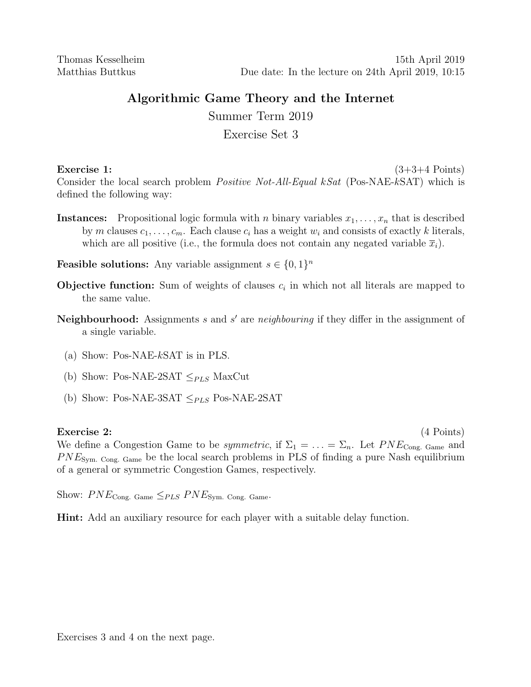# Algorithmic Game Theory and the Internet

Summer Term 2019

# Exercise Set 3

Exercise 1:  $(3+3+4$  Points) Consider the local search problem *Positive Not-All-Equal kSat* (Pos-NAE-kSAT) which is defined the following way:

**Instances:** Propositional logic formula with n binary variables  $x_1, \ldots, x_n$  that is described by m clauses  $c_1, \ldots, c_m$ . Each clause  $c_i$  has a weight  $w_i$  and consists of exactly k literals, which are all positive (i.e., the formula does not contain any negated variable  $\bar{x}_i$ ).

**Feasible solutions:** Any variable assignment  $s \in \{0, 1\}^n$ 

- **Objective function:** Sum of weights of clauses  $c_i$  in which not all literals are mapped to the same value.
- Neighbourhood: Assignments  $s$  and  $s'$  are neighbouring if they differ in the assignment of a single variable.
	- (a) Show: Pos-NAE-kSAT is in PLS.
	- (b) Show: Pos-NAE-2SAT  $\leq_{PLS}$  MaxCut
	- (b) Show: Pos-NAE-3SAT  $\leq_{PLS}$  Pos-NAE-2SAT

## Exercise 2: (4 Points)

We define a Congestion Game to be *symmetric*, if  $\Sigma_1 = \ldots = \Sigma_n$ . Let  $PNE_{\text{Cong. Game}}$  and  $PNE<sub>Sym. Cong. Game</sub>$  be the local search problems in PLS of finding a pure Nash equilibrium of a general or symmetric Congestion Games, respectively.

Show:  $PNE_{\text{Cong. Game}} \leq_{PLS} PNE_{\text{Sym. Cong. Game}}$ 

Hint: Add an auxiliary resource for each player with a suitable delay function.